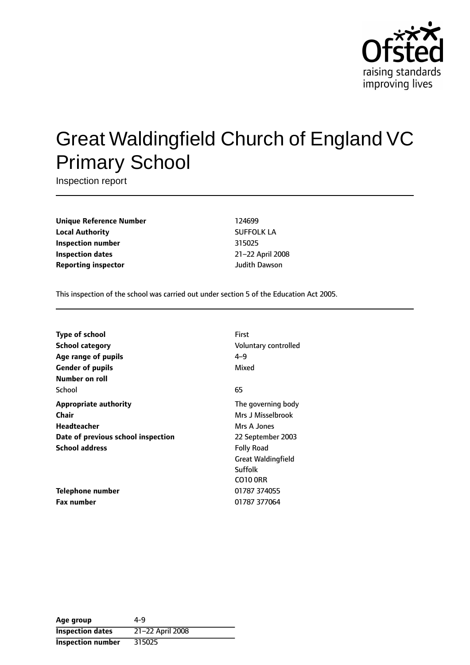

# Great Waldingfield Church of England VC Primary School

Inspection report

**Unique Reference Number** 124699 **Local Authority** SUFFOLK LA **Inspection number** 315025 **Inspection dates** 21-22 April 2008 **Reporting inspector and a structure of the United Structure Judith Dawson** 

This inspection of the school was carried out under section 5 of the Education Act 2005.

| <b>Type of school</b>              | First                     |
|------------------------------------|---------------------------|
| <b>School category</b>             | Voluntary controlled      |
| Age range of pupils                | $4 - 9$                   |
| <b>Gender of pupils</b>            | Mixed                     |
| Number on roll                     |                           |
| School                             | 65                        |
| <b>Appropriate authority</b>       | The governing body        |
| Chair                              | Mrs J Misselbrook         |
| <b>Headteacher</b>                 | Mrs A Jones               |
| Date of previous school inspection | 22 September 2003         |
| <b>School address</b>              | <b>Folly Road</b>         |
|                                    | <b>Great Waldingfield</b> |
|                                    | Suffolk                   |
|                                    | <b>CO10 ORR</b>           |
| Telephone number                   | 01787 374055              |
| <b>Fax number</b>                  | 01787 377064              |

| Age group                | 4-9              |
|--------------------------|------------------|
| <b>Inspection dates</b>  | 21-22 April 2008 |
| <b>Inspection number</b> | 315025           |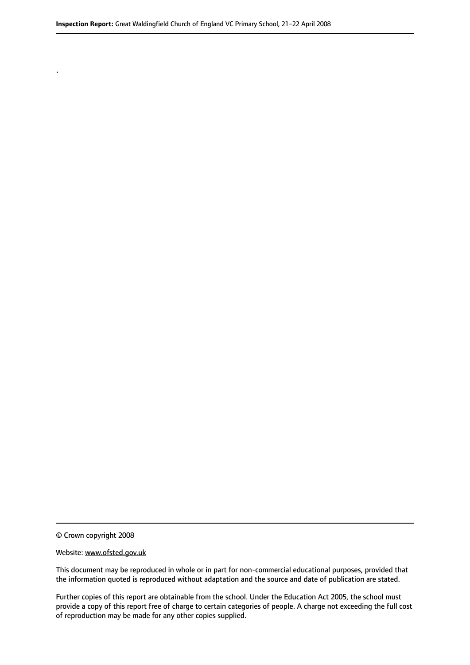© Crown copyright 2008

.

#### Website: www.ofsted.gov.uk

This document may be reproduced in whole or in part for non-commercial educational purposes, provided that the information quoted is reproduced without adaptation and the source and date of publication are stated.

Further copies of this report are obtainable from the school. Under the Education Act 2005, the school must provide a copy of this report free of charge to certain categories of people. A charge not exceeding the full cost of reproduction may be made for any other copies supplied.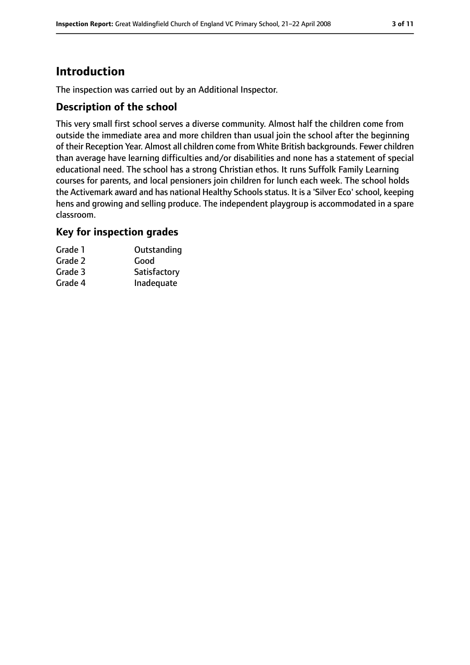# **Introduction**

The inspection was carried out by an Additional Inspector.

### **Description of the school**

This very small first school serves a diverse community. Almost half the children come from outside the immediate area and more children than usual join the school after the beginning of their Reception Year. Almost all children come from White British backgrounds. Fewer children than average have learning difficulties and/or disabilities and none has a statement of special educational need. The school has a strong Christian ethos. It runs Suffolk Family Learning courses for parents, and local pensioners join children for lunch each week. The school holds the Activemark award and has national Healthy Schools status. It is a 'Silver Eco' school, keeping hens and growing and selling produce. The independent playgroup is accommodated in a spare classroom.

### **Key for inspection grades**

| Grade 1 | Outstanding  |
|---------|--------------|
| Grade 2 | Good         |
| Grade 3 | Satisfactory |
| Grade 4 | Inadequate   |
|         |              |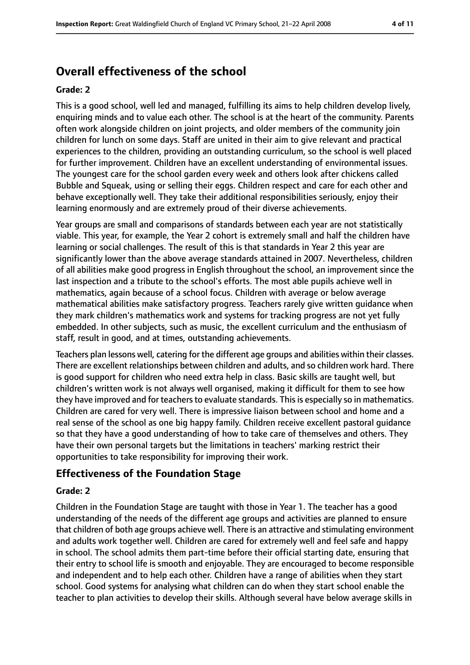# **Overall effectiveness of the school**

#### **Grade: 2**

This is a good school, well led and managed, fulfilling its aims to help children develop lively, enquiring minds and to value each other. The school is at the heart of the community. Parents often work alongside children on joint projects, and older members of the community join children for lunch on some days. Staff are united in their aim to give relevant and practical experiences to the children, providing an outstanding curriculum, so the school is well placed for further improvement. Children have an excellent understanding of environmental issues. The youngest care for the school garden every week and others look after chickens called Bubble and Squeak, using or selling their eggs. Children respect and care for each other and behave exceptionally well. They take their additional responsibilities seriously, enjoy their learning enormously and are extremely proud of their diverse achievements.

Year groups are small and comparisons of standards between each year are not statistically viable. This year, for example, the Year 2 cohort is extremely small and half the children have learning or social challenges. The result of this is that standards in Year 2 this year are significantly lower than the above average standards attained in 2007. Nevertheless, children of all abilities make good progress in English throughout the school, an improvement since the last inspection and a tribute to the school's efforts. The most able pupils achieve well in mathematics, again because of a school focus. Children with average or below average mathematical abilities make satisfactory progress. Teachers rarely give written guidance when they mark children's mathematics work and systems for tracking progress are not yet fully embedded. In other subjects, such as music, the excellent curriculum and the enthusiasm of staff, result in good, and at times, outstanding achievements.

Teachers plan lessons well, catering for the different age groups and abilities within their classes. There are excellent relationships between children and adults, and so children work hard. There is good support for children who need extra help in class. Basic skills are taught well, but children's written work is not always well organised, making it difficult for them to see how they have improved and for teachers to evaluate standards. This is especially so in mathematics. Children are cared for very well. There is impressive liaison between school and home and a real sense of the school as one big happy family. Children receive excellent pastoral guidance so that they have a good understanding of how to take care of themselves and others. They have their own personal targets but the limitations in teachers' marking restrict their opportunities to take responsibility for improving their work.

#### **Effectiveness of the Foundation Stage**

#### **Grade: 2**

Children in the Foundation Stage are taught with those in Year 1. The teacher has a good understanding of the needs of the different age groups and activities are planned to ensure that children of both age groups achieve well. There is an attractive and stimulating environment and adults work together well. Children are cared for extremely well and feel safe and happy in school. The school admits them part-time before their official starting date, ensuring that their entry to school life is smooth and enjoyable. They are encouraged to become responsible and independent and to help each other. Children have a range of abilities when they start school. Good systems for analysing what children can do when they start school enable the teacher to plan activities to develop their skills. Although several have below average skills in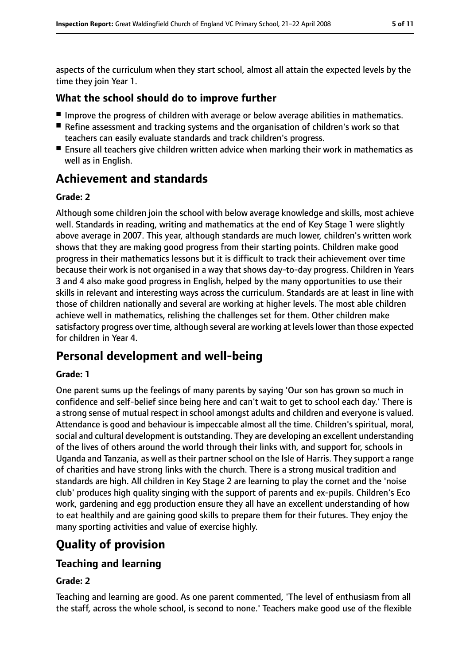aspects of the curriculum when they start school, almost all attain the expected levels by the time they join Year 1.

# **What the school should do to improve further**

- Improve the progress of children with average or below average abilities in mathematics.
- Refine assessment and tracking systems and the organisation of children's work so that teachers can easily evaluate standards and track children's progress.
- Ensure all teachers give children written advice when marking their work in mathematics as well as in English.

# **Achievement and standards**

### **Grade: 2**

Although some children join the school with below average knowledge and skills, most achieve well. Standards in reading, writing and mathematics at the end of Key Stage 1 were slightly above average in 2007. This year, although standards are much lower, children's written work shows that they are making good progress from their starting points. Children make good progress in their mathematics lessons but it is difficult to track their achievement over time because their work is not organised in a way that shows day-to-day progress. Children in Years 3 and 4 also make good progress in English, helped by the many opportunities to use their skills in relevant and interesting ways across the curriculum. Standards are at least in line with those of children nationally and several are working at higher levels. The most able children achieve well in mathematics, relishing the challenges set for them. Other children make satisfactory progress over time, although several are working at levels lower than those expected for children in Year 4.

# **Personal development and well-being**

### **Grade: 1**

One parent sums up the feelings of many parents by saying 'Our son has grown so much in confidence and self-belief since being here and can't wait to get to school each day.' There is a strong sense of mutual respect in school amongst adults and children and everyone is valued. Attendance is good and behaviour is impeccable almost all the time. Children's spiritual, moral, social and cultural development is outstanding. They are developing an excellent understanding of the lives of others around the world through their links with, and support for, schools in Uganda and Tanzania, as well as their partner school on the Isle of Harris. They support a range of charities and have strong links with the church. There is a strong musical tradition and standards are high. All children in Key Stage 2 are learning to play the cornet and the 'noise club' produces high quality singing with the support of parents and ex-pupils. Children's Eco work, gardening and egg production ensure they all have an excellent understanding of how to eat healthily and are gaining good skills to prepare them for their futures. They enjoy the many sporting activities and value of exercise highly.

# **Quality of provision**

# **Teaching and learning**

### **Grade: 2**

Teaching and learning are good. As one parent commented, 'The level of enthusiasm from all the staff, across the whole school, is second to none.' Teachers make good use of the flexible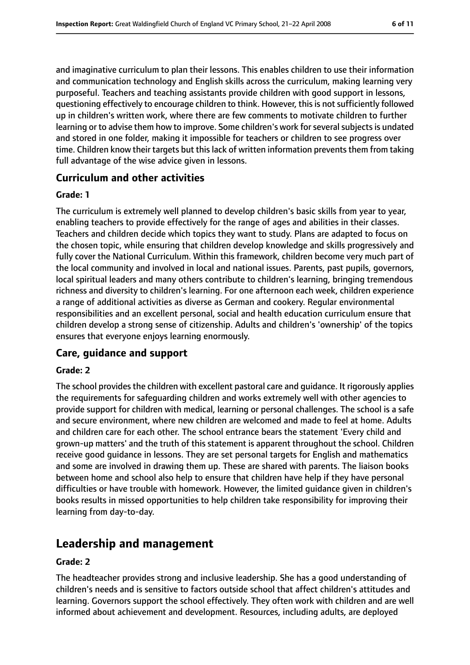and imaginative curriculum to plan their lessons. This enables children to use their information and communication technology and English skills across the curriculum, making learning very purposeful. Teachers and teaching assistants provide children with good support in lessons, questioning effectively to encourage children to think. However, this is not sufficiently followed up in children's written work, where there are few comments to motivate children to further learning or to advise them how to improve. Some children's work for several subjects is undated and stored in one folder, making it impossible for teachers or children to see progress over time. Children know their targets but this lack of written information prevents them from taking full advantage of the wise advice given in lessons.

#### **Curriculum and other activities**

#### **Grade: 1**

The curriculum is extremely well planned to develop children's basic skills from year to year, enabling teachers to provide effectively for the range of ages and abilities in their classes. Teachers and children decide which topics they want to study. Plans are adapted to focus on the chosen topic, while ensuring that children develop knowledge and skills progressively and fully cover the National Curriculum. Within this framework, children become very much part of the local community and involved in local and national issues. Parents, past pupils, governors, local spiritual leaders and many others contribute to children's learning, bringing tremendous richness and diversity to children's learning. For one afternoon each week, children experience a range of additional activities as diverse as German and cookery. Regular environmental responsibilities and an excellent personal, social and health education curriculum ensure that children develop a strong sense of citizenship. Adults and children's 'ownership' of the topics ensures that everyone enjoys learning enormously.

#### **Care, guidance and support**

#### **Grade: 2**

The school provides the children with excellent pastoral care and guidance. It rigorously applies the requirements for safeguarding children and works extremely well with other agencies to provide support for children with medical, learning or personal challenges. The school is a safe and secure environment, where new children are welcomed and made to feel at home. Adults and children care for each other. The school entrance bears the statement 'Every child and grown-up matters' and the truth of this statement is apparent throughout the school. Children receive good guidance in lessons. They are set personal targets for English and mathematics and some are involved in drawing them up. These are shared with parents. The liaison books between home and school also help to ensure that children have help if they have personal difficulties or have trouble with homework. However, the limited guidance given in children's books results in missed opportunities to help children take responsibility for improving their learning from day-to-day.

# **Leadership and management**

#### **Grade: 2**

The headteacher provides strong and inclusive leadership. She has a good understanding of children's needs and is sensitive to factors outside school that affect children's attitudes and learning. Governors support the school effectively. They often work with children and are well informed about achievement and development. Resources, including adults, are deployed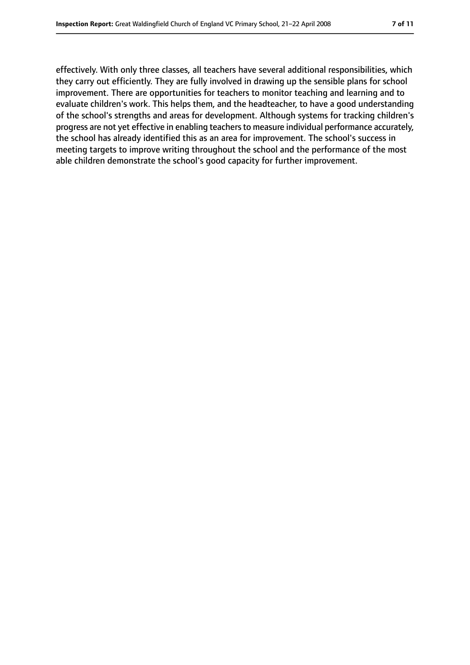effectively. With only three classes, all teachers have several additional responsibilities, which they carry out efficiently. They are fully involved in drawing up the sensible plans for school improvement. There are opportunities for teachers to monitor teaching and learning and to evaluate children's work. This helps them, and the headteacher, to have a good understanding of the school's strengths and areas for development. Although systems for tracking children's progress are not yet effective in enabling teachers to measure individual performance accurately, the school has already identified this as an area for improvement. The school's success in meeting targets to improve writing throughout the school and the performance of the most able children demonstrate the school's good capacity for further improvement.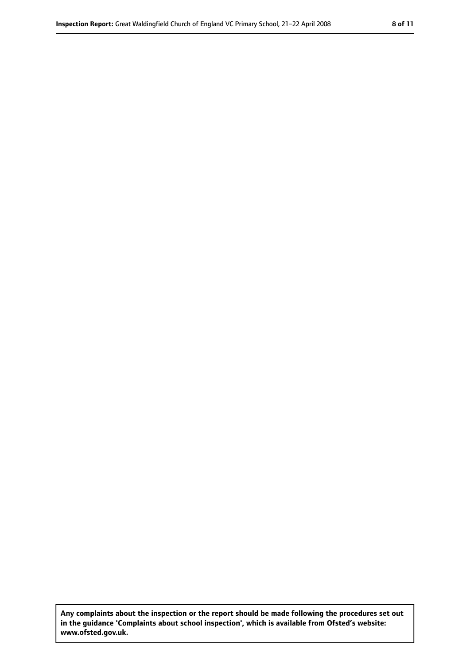**Any complaints about the inspection or the report should be made following the procedures set out in the guidance 'Complaints about school inspection', which is available from Ofsted's website: www.ofsted.gov.uk.**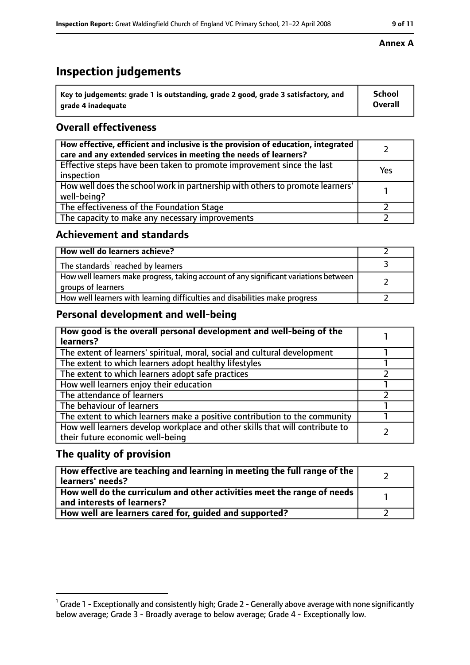# **Inspection judgements**

| $\degree$ Key to judgements: grade 1 is outstanding, grade 2 good, grade 3 satisfactory, and | School         |
|----------------------------------------------------------------------------------------------|----------------|
| arade 4 inadequate                                                                           | <b>Overall</b> |

# **Overall effectiveness**

| How effective, efficient and inclusive is the provision of education, integrated<br>care and any extended services in meeting the needs of learners? |     |
|------------------------------------------------------------------------------------------------------------------------------------------------------|-----|
| Effective steps have been taken to promote improvement since the last<br>inspection                                                                  | Yes |
| How well does the school work in partnership with others to promote learners'<br>well-being?                                                         |     |
| The effectiveness of the Foundation Stage                                                                                                            |     |
| The capacity to make any necessary improvements                                                                                                      |     |

### **Achievement and standards**

| How well do learners achieve?                                                                               |  |
|-------------------------------------------------------------------------------------------------------------|--|
| The standards <sup>1</sup> reached by learners                                                              |  |
| How well learners make progress, taking account of any significant variations between<br>groups of learners |  |
| How well learners with learning difficulties and disabilities make progress                                 |  |

# **Personal development and well-being**

| How good is the overall personal development and well-being of the<br>learners?                                  |  |
|------------------------------------------------------------------------------------------------------------------|--|
| The extent of learners' spiritual, moral, social and cultural development                                        |  |
| The extent to which learners adopt healthy lifestyles                                                            |  |
| The extent to which learners adopt safe practices                                                                |  |
| How well learners enjoy their education                                                                          |  |
| The attendance of learners                                                                                       |  |
| The behaviour of learners                                                                                        |  |
| The extent to which learners make a positive contribution to the community                                       |  |
| How well learners develop workplace and other skills that will contribute to<br>their future economic well-being |  |

### **The quality of provision**

| How effective are teaching and learning in meeting the full range of the<br>learners' needs?          |  |
|-------------------------------------------------------------------------------------------------------|--|
| How well do the curriculum and other activities meet the range of needs<br>and interests of learners? |  |
| How well are learners cared for, guided and supported?                                                |  |

### **Annex A**

 $^1$  Grade 1 - Exceptionally and consistently high; Grade 2 - Generally above average with none significantly below average; Grade 3 - Broadly average to below average; Grade 4 - Exceptionally low.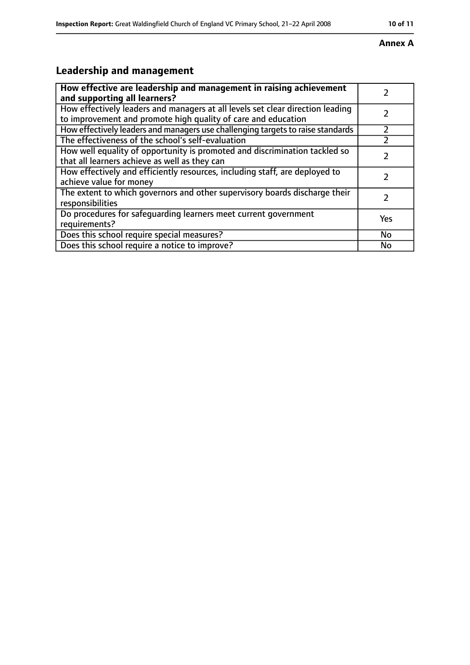# **Annex A**

# **Leadership and management**

| How effective are leadership and management in raising achievement                                                                              |           |
|-------------------------------------------------------------------------------------------------------------------------------------------------|-----------|
| and supporting all learners?                                                                                                                    |           |
| How effectively leaders and managers at all levels set clear direction leading<br>to improvement and promote high quality of care and education |           |
| How effectively leaders and managers use challenging targets to raise standards                                                                 | フ         |
| The effectiveness of the school's self-evaluation                                                                                               |           |
| How well equality of opportunity is promoted and discrimination tackled so<br>that all learners achieve as well as they can                     |           |
| How effectively and efficiently resources, including staff, are deployed to<br>achieve value for money                                          |           |
| The extent to which governors and other supervisory boards discharge their<br>responsibilities                                                  | 7         |
| Do procedures for safequarding learners meet current government<br>requirements?                                                                | Yes       |
| Does this school require special measures?                                                                                                      | <b>No</b> |
| Does this school require a notice to improve?                                                                                                   | No        |